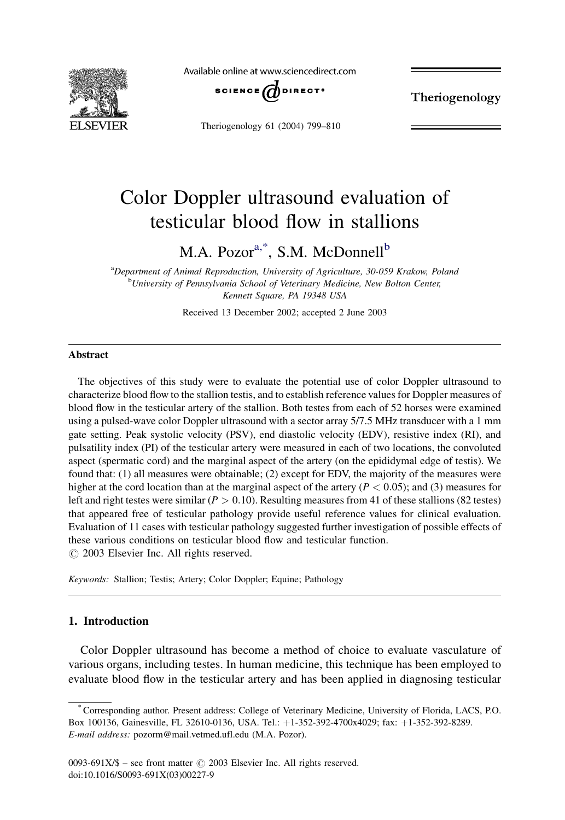

Available online at www.sciencedirect.com



Theriogenology

Theriogenology 61 (2004) 799–810

# Color Doppler ultrasound evaluation of testicular blood flow in stallions

M.A. Pozor $a^*$ , S.M. McDonnell<sup>b</sup>

<sup>a</sup>Department of Animal Reproduction, University of Agriculture, 30-059 Krakow, Poland <sup>b</sup>University of Pennsylvania School of Veterinary Medicine, New Bolton Center, Kennett Square, PA 19348 USA

Received 13 December 2002; accepted 2 June 2003

#### Abstract

The objectives of this study were to evaluate the potential use of color Doppler ultrasound to characterize blood flow to the stallion testis, and to establish reference values for Doppler measures of blood flow in the testicular artery of the stallion. Both testes from each of 52 horses were examined using a pulsed-wave color Doppler ultrasound with a sector array 5/7.5 MHz transducer with a 1 mm gate setting. Peak systolic velocity (PSV), end diastolic velocity (EDV), resistive index (RI), and pulsatility index (PI) of the testicular artery were measured in each of two locations, the convoluted aspect (spermatic cord) and the marginal aspect of the artery (on the epididymal edge of testis). We found that: (1) all measures were obtainable; (2) except for EDV, the majority of the measures were higher at the cord location than at the marginal aspect of the artery ( $P < 0.05$ ); and (3) measures for left and right testes were similar ( $P > 0.10$ ). Resulting measures from 41 of these stallions (82 testes) that appeared free of testicular pathology provide useful reference values for clinical evaluation. Evaluation of 11 cases with testicular pathology suggested further investigation of possible effects of these various conditions on testicular blood flow and testicular function.  $\circ$  2003 Elsevier Inc. All rights reserved.

Keywords: Stallion; Testis; Artery; Color Doppler; Equine; Pathology

## 1. Introduction

Color Doppler ultrasound has become a method of choice to evaluate vasculature of various organs, including testes. In human medicine, this technique has been employed to evaluate blood flow in the testicular artery and has been applied in diagnosing testicular

<sup>\*</sup>Corresponding author. Present address: College of Veterinary Medicine, University of Florida, LACS, P.O. Box 100136, Gainesville, FL 32610-0136, USA. Tel.: +1-352-392-4700x4029; fax: +1-352-392-8289. E-mail address: pozorm@mail.vetmed.ufl.edu (M.A. Pozor).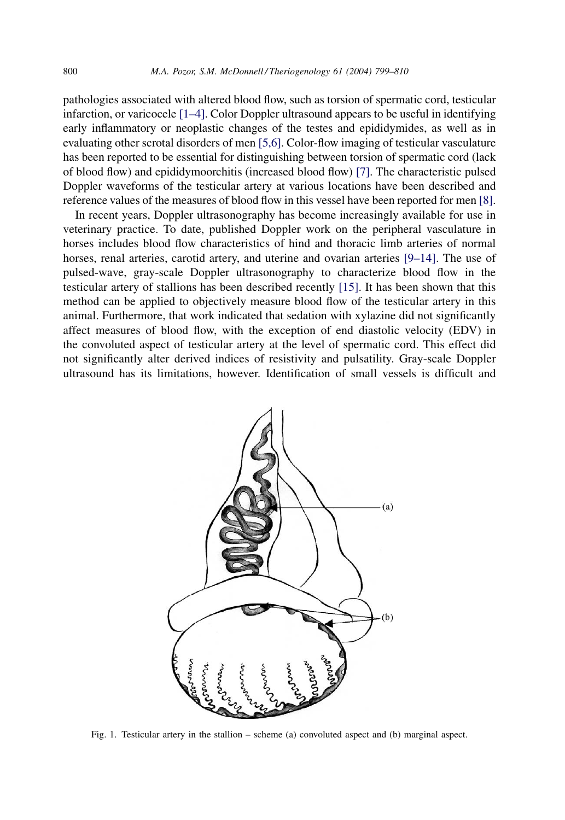<span id="page-1-0"></span>pathologies associated with altered blood flow, such as torsion of spermatic cord, testicular infarction, or varicocele [\[1–4\].](#page-10-0) Color Doppler ultrasound appears to be useful in identifying early inflammatory or neoplastic changes of the testes and epididymides, as well as in evaluating other scrotal disorders of men [\[5,6\]](#page-10-0). Color-flow imaging of testicular vasculature has been reported to be essential for distinguishing between torsion of spermatic cord (lack of blood flow) and epididymoorchitis (increased blood flow) [\[7\]](#page-10-0). The characteristic pulsed Doppler waveforms of the testicular artery at various locations have been described and reference values of the measures of blood flow in this vessel have been reported for men [\[8\].](#page-10-0)

In recent years, Doppler ultrasonography has become increasingly available for use in veterinary practice. To date, published Doppler work on the peripheral vasculature in horses includes blood flow characteristics of hind and thoracic limb arteries of normal horses, renal arteries, carotid artery, and uterine and ovarian arteries [\[9–14\]](#page-10-0). The use of pulsed-wave, gray-scale Doppler ultrasonography to characterize blood flow in the testicular artery of stallions has been described recently [\[15\]](#page-10-0). It has been shown that this method can be applied to objectively measure blood flow of the testicular artery in this animal. Furthermore, that work indicated that sedation with xylazine did not significantly affect measures of blood flow, with the exception of end diastolic velocity (EDV) in the convoluted aspect of testicular artery at the level of spermatic cord. This effect did not significantly alter derived indices of resistivity and pulsatility. Gray-scale Doppler ultrasound has its limitations, however. Identification of small vessels is difficult and



Fig. 1. Testicular artery in the stallion – scheme (a) convoluted aspect and (b) marginal aspect.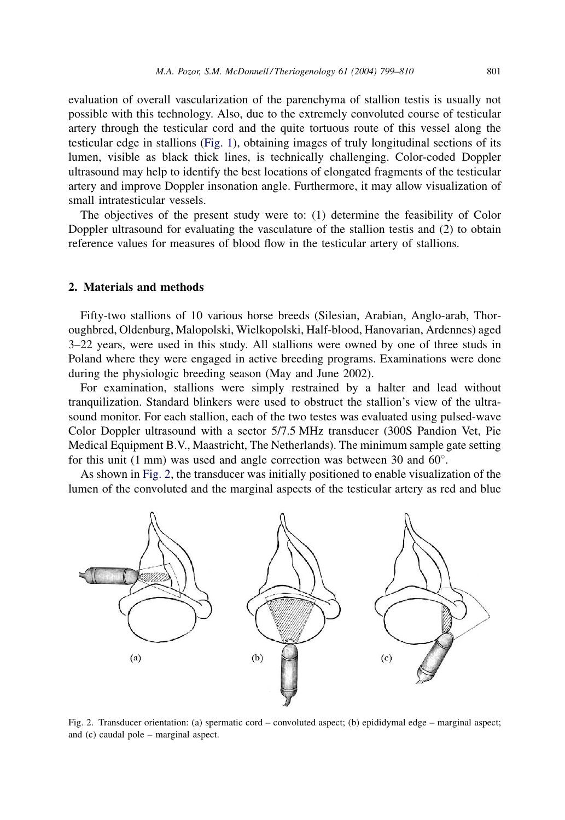evaluation of overall vascularization of the parenchyma of stallion testis is usually not possible with this technology. Also, due to the extremely convoluted course of testicular artery through the testicular cord and the quite tortuous route of this vessel along the testicular edge in stallions [\(Fig. 1](#page-1-0)), obtaining images of truly longitudinal sections of its lumen, visible as black thick lines, is technically challenging. Color-coded Doppler ultrasound may help to identify the best locations of elongated fragments of the testicular artery and improve Doppler insonation angle. Furthermore, it may allow visualization of small intratesticular vessels.

The objectives of the present study were to: (1) determine the feasibility of Color Doppler ultrasound for evaluating the vasculature of the stallion testis and (2) to obtain reference values for measures of blood flow in the testicular artery of stallions.

## 2. Materials and methods

Fifty-two stallions of 10 various horse breeds (Silesian, Arabian, Anglo-arab, Thoroughbred, Oldenburg, Malopolski, Wielkopolski, Half-blood, Hanovarian, Ardennes) aged 3–22 years, were used in this study. All stallions were owned by one of three studs in Poland where they were engaged in active breeding programs. Examinations were done during the physiologic breeding season (May and June 2002).

For examination, stallions were simply restrained by a halter and lead without tranquilization. Standard blinkers were used to obstruct the stallion's view of the ultrasound monitor. For each stallion, each of the two testes was evaluated using pulsed-wave Color Doppler ultrasound with a sector 5/7.5 MHz transducer (300S Pandion Vet, Pie Medical Equipment B.V., Maastricht, The Netherlands). The minimum sample gate setting for this unit (1 mm) was used and angle correction was between 30 and  $60^{\circ}$ .

As shown in Fig. 2, the transducer was initially positioned to enable visualization of the lumen of the convoluted and the marginal aspects of the testicular artery as red and blue



Fig. 2. Transducer orientation: (a) spermatic cord – convoluted aspect; (b) epididymal edge – marginal aspect; and (c) caudal pole – marginal aspect.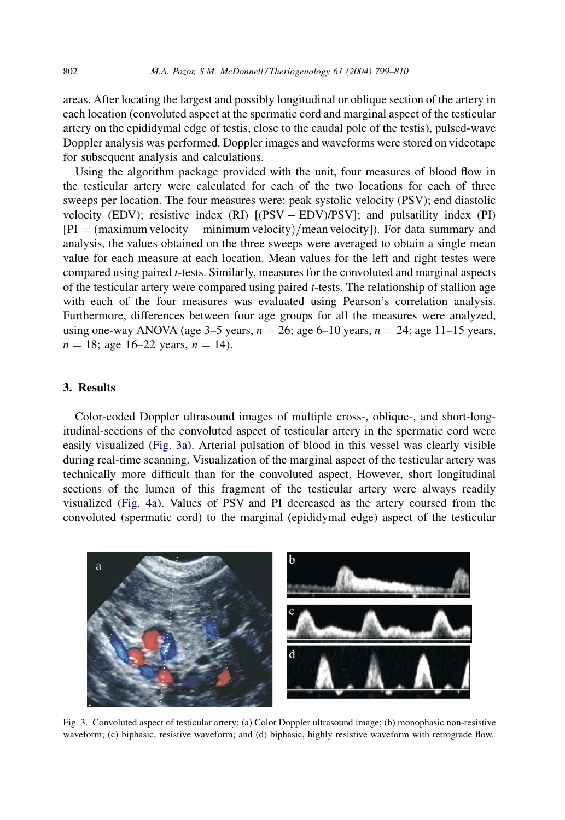<span id="page-3-0"></span>areas. After locating the largest and possibly longitudinal or oblique section of the artery in each location (convoluted aspect at the spermatic cord and marginal aspect of the testicular artery on the epididymal edge of testis, close to the caudal pole of the testis), pulsed-wave Doppler analysis was performed. Doppler images and waveforms were stored on videotape for subsequent analysis and calculations.

Using the algorithm package provided with the unit, four measures of blood flow in the testicular artery were calculated for each of the two locations for each of three sweeps per location. The four measures were: peak systolic velocity (PSV); end diastolic velocity (EDV); resistive index (RI) [(PSV - EDV)/PSV]; and pulsatility index (PI)  $[PI = (maximum velocity – minimum velocity)/mean velocity]$ ). For data summary and analysis, the values obtained on the three sweeps were averaged to obtain a single mean value for each measure at each location. Mean values for the left and right testes were compared using paired t-tests. Similarly, measures for the convoluted and marginal aspects of the testicular artery were compared using paired t-tests. The relationship of stallion age with each of the four measures was evaluated using Pearson's correlation analysis. Furthermore, differences between four age groups for all the measures were analyzed, using one-way ANOVA (age  $3-5$  years,  $n = 26$ ; age  $6-10$  years,  $n = 24$ ; age  $11-15$  years,  $n = 18$ ; age 16–22 years,  $n = 14$ ).

### 3. Results

Color-coded Doppler ultrasound images of multiple cross-, oblique-, and short-longitudinal-sections of the convoluted aspect of testicular artery in the spermatic cord were easily visualized (Fig. 3a). Arterial pulsation of blood in this vessel was clearly visible during real-time scanning. Visualization of the marginal aspect of the testicular artery was technically more difficult than for the convoluted aspect. However, short longitudinal sections of the lumen of this fragment of the testicular artery were always readily visualized ([Fig. 4a](#page-4-0)). Values of PSV and PI decreased as the artery coursed from the convoluted (spermatic cord) to the marginal (epididymal edge) aspect of the testicular



Fig. 3. Convoluted aspect of testicular artery: (a) Color Doppler ultrasound image; (b) monophasic non-resistive waveform; (c) biphasic, resistive waveform; and (d) biphasic, highly resistive waveform with retrograde flow.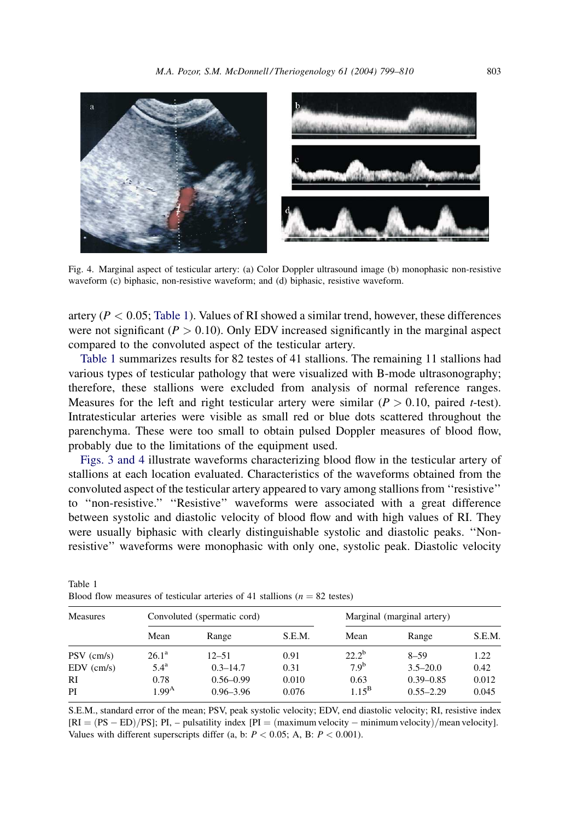<span id="page-4-0"></span>

Fig. 4. Marginal aspect of testicular artery: (a) Color Doppler ultrasound image (b) monophasic non-resistive waveform (c) biphasic, non-resistive waveform; and (d) biphasic, resistive waveform.

artery ( $P < 0.05$ ; Table 1). Values of RI showed a similar trend, however, these differences were not significant ( $P > 0.10$ ). Only EDV increased significantly in the marginal aspect compared to the convoluted aspect of the testicular artery.

Table 1 summarizes results for 82 testes of 41 stallions. The remaining 11 stallions had various types of testicular pathology that were visualized with B-mode ultrasonography; therefore, these stallions were excluded from analysis of normal reference ranges. Measures for the left and right testicular artery were similar  $(P > 0.10$ , paired t-test). Intratesticular arteries were visible as small red or blue dots scattered throughout the parenchyma. These were too small to obtain pulsed Doppler measures of blood flow, probably due to the limitations of the equipment used.

[Figs. 3 and 4](#page-3-0) illustrate waveforms characterizing blood flow in the testicular artery of stallions at each location evaluated. Characteristics of the waveforms obtained from the convoluted aspect of the testicular artery appeared to vary among stallions from ''resistive'' to ''non-resistive.'' ''Resistive'' waveforms were associated with a great difference between systolic and diastolic velocity of blood flow and with high values of RI. They were usually biphasic with clearly distinguishable systolic and diastolic peaks. ''Nonresistive'' waveforms were monophasic with only one, systolic peak. Diastolic velocity

| <b>Measures</b> | Convoluted (spermatic cord) |               |        | Marginal (marginal artery) |               |        |
|-----------------|-----------------------------|---------------|--------|----------------------------|---------------|--------|
|                 | Mean                        | Range         | S.E.M. | Mean                       | Range         | S.E.M. |
| $PSV$ (cm/s)    | $26.1^{\rm a}$              | $12 - 51$     | 0.91   | $22.2^b$                   | $8 - 59$      | 1.22   |
| $EDV$ (cm/s)    | $5.4^{\mathrm{a}}$          | $0.3 - 14.7$  | 0.31   | 7.9 <sup>b</sup>           | $3.5 - 20.0$  | 0.42   |
| RI              | 0.78                        | $0.56 - 0.99$ | 0.010  | 0.63                       | $0.39 - 0.85$ | 0.012  |
| PI              | $1.99^{\rm A}$              | $0.96 - 3.96$ | 0.076  | $1.15^{\mathrm{B}}$        | $0.55 - 2.29$ | 0.045  |

Blood flow measures of testicular arteries of 41 stallions ( $n = 82$  testes)

Table 1

S.E.M., standard error of the mean; PSV, peak systolic velocity; EDV, end diastolic velocity; RI, resistive index  $[RI = (PS - ED)/PS]$ ; PI, – pulsatility index  $[PI = (maximum velocity - minimum velocity)/mean velocity]$ . Values with different superscripts differ (a, b:  $P < 0.05$ ; A, B:  $P < 0.001$ ).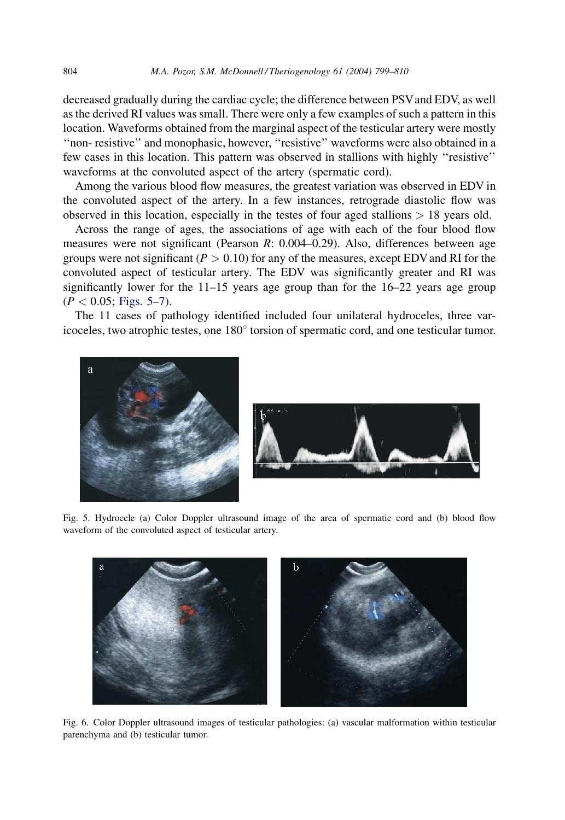<span id="page-5-0"></span>decreased gradually during the cardiac cycle; the difference between PSVand EDV, as well as the derived RI values was small. There were only a few examples of such a pattern in this location. Waveforms obtained from the marginal aspect of the testicular artery were mostly "non- resistive" and monophasic, however, "resistive" waveforms were also obtained in a few cases in this location. This pattern was observed in stallions with highly ''resistive'' waveforms at the convoluted aspect of the artery (spermatic cord).

Among the various blood flow measures, the greatest variation was observed in EDV in the convoluted aspect of the artery. In a few instances, retrograde diastolic flow was observed in this location, especially in the testes of four aged stallions > 18 years old.

Across the range of ages, the associations of age with each of the four blood flow measures were not significant (Pearson R: 0.004–0.29). Also, differences between age groups were not significant ( $P > 0.10$ ) for any of the measures, except EDV and RI for the convoluted aspect of testicular artery. The EDV was significantly greater and RI was significantly lower for the 11–15 years age group than for the 16–22 years age group  $(P < 0.05;$  Figs. 5–7).

The 11 cases of pathology identified included four unilateral hydroceles, three varicoceles, two atrophic testes, one  $180^\circ$  torsion of spermatic cord, and one testicular tumor.





Fig. 5. Hydrocele (a) Color Doppler ultrasound image of the area of spermatic cord and (b) blood flow waveform of the convoluted aspect of testicular artery.



Fig. 6. Color Doppler ultrasound images of testicular pathologies: (a) vascular malformation within testicular parenchyma and (b) testicular tumor.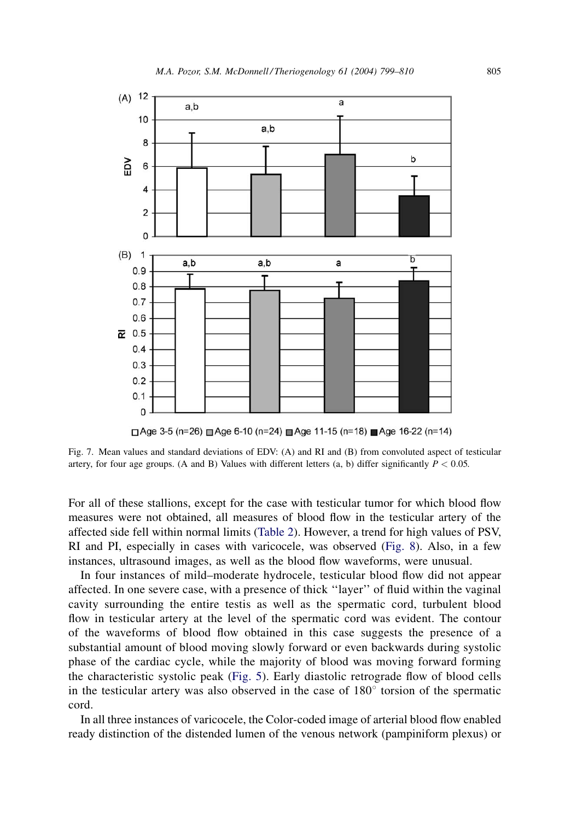

□ Age 3-5 (n=26) □ Age 6-10 (n=24) ■ Age 11-15 (n=18) ■ Age 16-22 (n=14)

Fig. 7. Mean values and standard deviations of EDV: (A) and RI and (B) from convoluted aspect of testicular artery, for four age groups. (A and B) Values with different letters (a, b) differ significantly  $P < 0.05$ .

For all of these stallions, except for the case with testicular tumor for which blood flow measures were not obtained, all measures of blood flow in the testicular artery of the affected side fell within normal limits ([Table 2](#page-7-0)). However, a trend for high values of PSV, RI and PI, especially in cases with varicocele, was observed ([Fig. 8](#page-7-0)). Also, in a few instances, ultrasound images, as well as the blood flow waveforms, were unusual.

In four instances of mild–moderate hydrocele, testicular blood flow did not appear affected. In one severe case, with a presence of thick ''layer'' of fluid within the vaginal cavity surrounding the entire testis as well as the spermatic cord, turbulent blood flow in testicular artery at the level of the spermatic cord was evident. The contour of the waveforms of blood flow obtained in this case suggests the presence of a substantial amount of blood moving slowly forward or even backwards during systolic phase of the cardiac cycle, while the majority of blood was moving forward forming the characteristic systolic peak [\(Fig. 5](#page-5-0)). Early diastolic retrograde flow of blood cells in the testicular artery was also observed in the case of  $180^\circ$  torsion of the spermatic cord.

In all three instances of varicocele, the Color-coded image of arterial blood flow enabled ready distinction of the distended lumen of the venous network (pampiniform plexus) or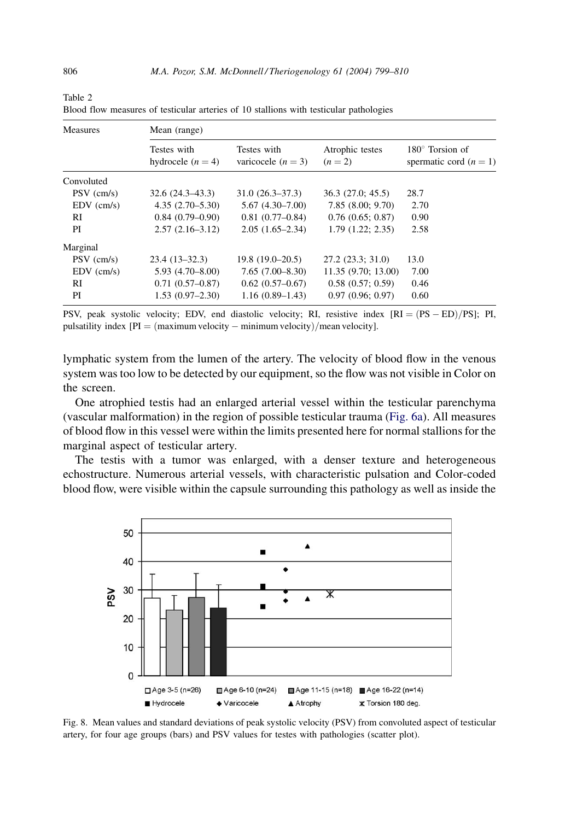| <b>Measures</b> | Mean (range)                       |                                     |                              |                                                    |  |  |  |
|-----------------|------------------------------------|-------------------------------------|------------------------------|----------------------------------------------------|--|--|--|
|                 | Testes with<br>hydrocele $(n = 4)$ | Testes with<br>varicocele $(n = 3)$ | Atrophic testes<br>$(n = 2)$ | $180^\circ$ Torsion of<br>spermatic cord $(n = 1)$ |  |  |  |
| Convoluted      |                                    |                                     |                              |                                                    |  |  |  |
| $PSV$ (cm/s)    | $32.6(24.3-43.3)$                  | $31.0(26.3 - 37.3)$                 | 36.3(27.0; 45.5)             | 28.7                                               |  |  |  |
| $EDV$ (cm/s)    | $4.35(2.70-5.30)$                  | $5.67(4.30 - 7.00)$                 | 7.85(8.00; 9.70)             | 2.70                                               |  |  |  |
| RI              | $0.84(0.79-0.90)$                  | $0.81(0.77-0.84)$                   | 0.76(0.65; 0.87)             | 0.90                                               |  |  |  |
| PI              | $2.57(2.16-3.12)$                  | $2.05(1.65-2.34)$                   | 1.79(1.22; 2.35)             | 2.58                                               |  |  |  |
| Marginal        |                                    |                                     |                              |                                                    |  |  |  |
| $PSV$ (cm/s)    | $23.4(13-32.3)$                    | $19.8(19.0-20.5)$                   | 27.2(23.3; 31.0)             | 13.0                                               |  |  |  |
| $EDV$ (cm/s)    | $5.93(4.70 - 8.00)$                | $7.65(7.00 - 8.30)$                 | 11.35 (9.70; 13.00)          | 7.00                                               |  |  |  |
| <b>RI</b>       | $0.71(0.57 - 0.87)$                | $0.62(0.57-0.67)$                   | 0.58(0.57; 0.59)             | 0.46                                               |  |  |  |
| PI              | $1.53(0.97-2.30)$                  | $1.16(0.89-1.43)$                   | 0.97(0.96; 0.97)             | 0.60                                               |  |  |  |

Blood flow measures of testicular arteries of 10 stallions with testicular pathologies

PSV, peak systolic velocity; EDV, end diastolic velocity; RI, resistive index  $[RI = (PS - ED)/PS]$ ; PI, pulsatility index  $[PI = (maximum velocity - minimum velocity)/mean velocity]$ .

lymphatic system from the lumen of the artery. The velocity of blood flow in the venous system was too low to be detected by our equipment, so the flow was not visible in Color on the screen.

One atrophied testis had an enlarged arterial vessel within the testicular parenchyma (vascular malformation) in the region of possible testicular trauma ([Fig. 6a](#page-5-0)). All measures of blood flow in this vessel were within the limits presented here for normal stallions for the marginal aspect of testicular artery.

The testis with a tumor was enlarged, with a denser texture and heterogeneous echostructure. Numerous arterial vessels, with characteristic pulsation and Color-coded blood flow, were visible within the capsule surrounding this pathology as well as inside the



Fig. 8. Mean values and standard deviations of peak systolic velocity (PSV) from convoluted aspect of testicular artery, for four age groups (bars) and PSV values for testes with pathologies (scatter plot).

<span id="page-7-0"></span>Table 2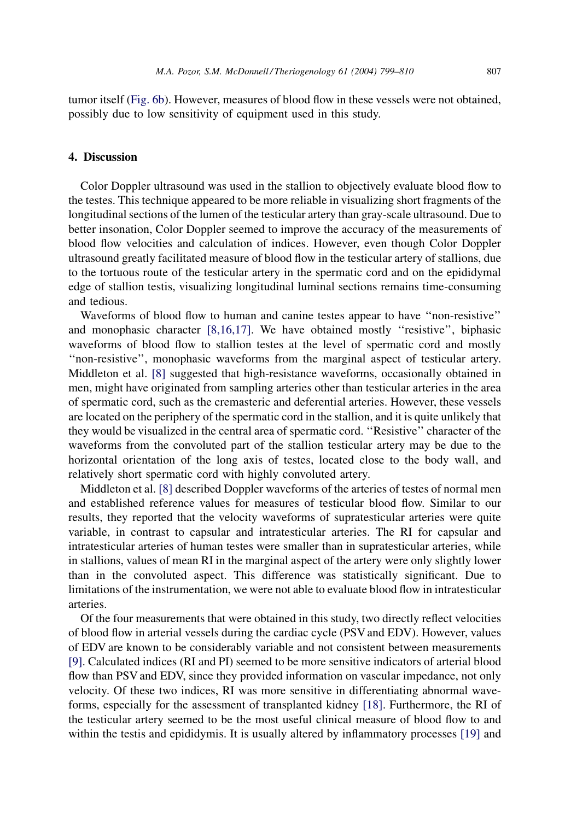tumor itself [\(Fig. 6b](#page-5-0)). However, measures of blood flow in these vessels were not obtained, possibly due to low sensitivity of equipment used in this study.

## 4. Discussion

Color Doppler ultrasound was used in the stallion to objectively evaluate blood flow to the testes. This technique appeared to be more reliable in visualizing short fragments of the longitudinal sections of the lumen of the testicular artery than gray-scale ultrasound. Due to better insonation, Color Doppler seemed to improve the accuracy of the measurements of blood flow velocities and calculation of indices. However, even though Color Doppler ultrasound greatly facilitated measure of blood flow in the testicular artery of stallions, due to the tortuous route of the testicular artery in the spermatic cord and on the epididymal edge of stallion testis, visualizing longitudinal luminal sections remains time-consuming and tedious.

Waveforms of blood flow to human and canine testes appear to have ''non-resistive'' and monophasic character [\[8,16,17\]](#page-10-0). We have obtained mostly ''resistive'', biphasic waveforms of blood flow to stallion testes at the level of spermatic cord and mostly ''non-resistive'', monophasic waveforms from the marginal aspect of testicular artery. Middleton et al. [\[8\]](#page-10-0) suggested that high-resistance waveforms, occasionally obtained in men, might have originated from sampling arteries other than testicular arteries in the area of spermatic cord, such as the cremasteric and deferential arteries. However, these vessels are located on the periphery of the spermatic cord in the stallion, and it is quite unlikely that they would be visualized in the central area of spermatic cord. ''Resistive'' character of the waveforms from the convoluted part of the stallion testicular artery may be due to the horizontal orientation of the long axis of testes, located close to the body wall, and relatively short spermatic cord with highly convoluted artery.

Middleton et al. [\[8\]](#page-10-0) described Doppler waveforms of the arteries of testes of normal men and established reference values for measures of testicular blood flow. Similar to our results, they reported that the velocity waveforms of supratesticular arteries were quite variable, in contrast to capsular and intratesticular arteries. The RI for capsular and intratesticular arteries of human testes were smaller than in supratesticular arteries, while in stallions, values of mean RI in the marginal aspect of the artery were only slightly lower than in the convoluted aspect. This difference was statistically significant. Due to limitations of the instrumentation, we were not able to evaluate blood flow in intratesticular arteries.

Of the four measurements that were obtained in this study, two directly reflect velocities of blood flow in arterial vessels during the cardiac cycle (PSV and EDV). However, values of EDV are known to be considerably variable and not consistent between measurements [\[9\]](#page-10-0). Calculated indices (RI and PI) seemed to be more sensitive indicators of arterial blood flow than PSV and EDV, since they provided information on vascular impedance, not only velocity. Of these two indices, RI was more sensitive in differentiating abnormal waveforms, especially for the assessment of transplanted kidney [\[18\]](#page-11-0). Furthermore, the RI of the testicular artery seemed to be the most useful clinical measure of blood flow to and within the testis and epididymis. It is usually altered by inflammatory processes [\[19\]](#page-11-0) and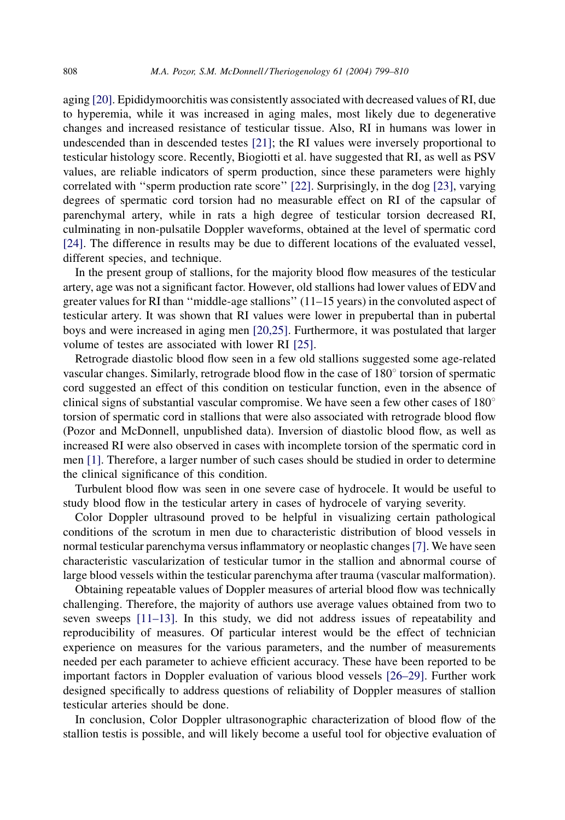aging [\[20\]](#page-11-0). Epididymoorchitis was consistently associated with decreased values of RI, due to hyperemia, while it was increased in aging males, most likely due to degenerative changes and increased resistance of testicular tissue. Also, RI in humans was lower in undescended than in descended testes [\[21\]](#page-11-0); the RI values were inversely proportional to testicular histology score. Recently, Biogiotti et al. have suggested that RI, as well as PSV values, are reliable indicators of sperm production, since these parameters were highly correlated with ''sperm production rate score'' [\[22\].](#page-11-0) Surprisingly, in the dog [\[23\],](#page-11-0) varying degrees of spermatic cord torsion had no measurable effect on RI of the capsular of parenchymal artery, while in rats a high degree of testicular torsion decreased RI, culminating in non-pulsatile Doppler waveforms, obtained at the level of spermatic cord [\[24\].](#page-11-0) The difference in results may be due to different locations of the evaluated vessel, different species, and technique.

In the present group of stallions, for the majority blood flow measures of the testicular artery, age was not a significant factor. However, old stallions had lower values of EDVand greater values for RI than ''middle-age stallions'' (11–15 years) in the convoluted aspect of testicular artery. It was shown that RI values were lower in prepubertal than in pubertal boys and were increased in aging men [\[20,25\].](#page-11-0) Furthermore, it was postulated that larger volume of testes are associated with lower RI [\[25\].](#page-11-0)

Retrograde diastolic blood flow seen in a few old stallions suggested some age-related vascular changes. Similarly, retrograde blood flow in the case of  $180^\circ$  torsion of spermatic cord suggested an effect of this condition on testicular function, even in the absence of clinical signs of substantial vascular compromise. We have seen a few other cases of  $180^{\circ}$ torsion of spermatic cord in stallions that were also associated with retrograde blood flow (Pozor and McDonnell, unpublished data). Inversion of diastolic blood flow, as well as increased RI were also observed in cases with incomplete torsion of the spermatic cord in men [\[1\].](#page-10-0) Therefore, a larger number of such cases should be studied in order to determine the clinical significance of this condition.

Turbulent blood flow was seen in one severe case of hydrocele. It would be useful to study blood flow in the testicular artery in cases of hydrocele of varying severity.

Color Doppler ultrasound proved to be helpful in visualizing certain pathological conditions of the scrotum in men due to characteristic distribution of blood vessels in normal testicular parenchyma versus inflammatory or neoplastic changes [\[7\]](#page-10-0). We have seen characteristic vascularization of testicular tumor in the stallion and abnormal course of large blood vessels within the testicular parenchyma after trauma (vascular malformation).

Obtaining repeatable values of Doppler measures of arterial blood flow was technically challenging. Therefore, the majority of authors use average values obtained from two to seven sweeps [\[11–13\].](#page-10-0) In this study, we did not address issues of repeatability and reproducibility of measures. Of particular interest would be the effect of technician experience on measures for the various parameters, and the number of measurements needed per each parameter to achieve efficient accuracy. These have been reported to be important factors in Doppler evaluation of various blood vessels [\[26–29\].](#page-11-0) Further work designed specifically to address questions of reliability of Doppler measures of stallion testicular arteries should be done.

In conclusion, Color Doppler ultrasonographic characterization of blood flow of the stallion testis is possible, and will likely become a useful tool for objective evaluation of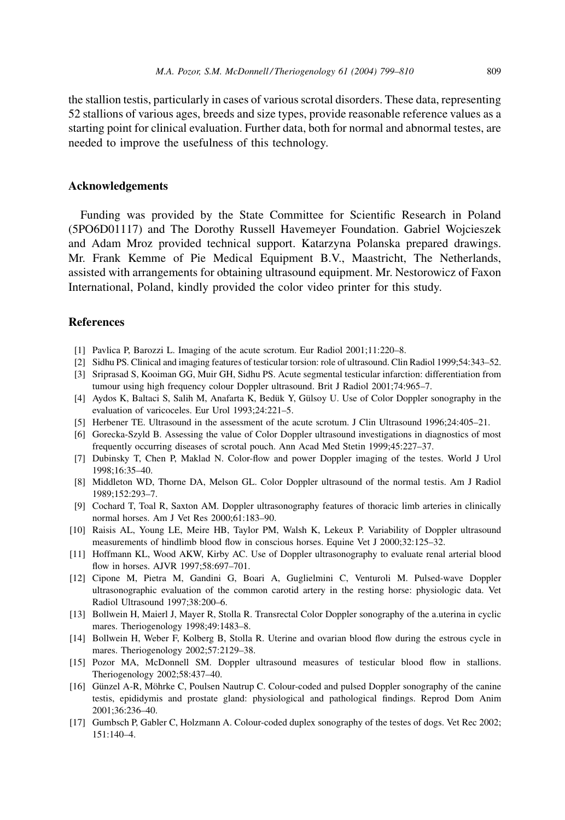<span id="page-10-0"></span>the stallion testis, particularly in cases of various scrotal disorders. These data, representing 52 stallions of various ages, breeds and size types, provide reasonable reference values as a starting point for clinical evaluation. Further data, both for normal and abnormal testes, are needed to improve the usefulness of this technology.

### Acknowledgements

Funding was provided by the State Committee for Scientific Research in Poland (5PO6D01117) and The Dorothy Russell Havemeyer Foundation. Gabriel Wojcieszek and Adam Mroz provided technical support. Katarzyna Polanska prepared drawings. Mr. Frank Kemme of Pie Medical Equipment B.V., Maastricht, The Netherlands, assisted with arrangements for obtaining ultrasound equipment. Mr. Nestorowicz of Faxon International, Poland, kindly provided the color video printer for this study.

## References

- [1] Pavlica P, Barozzi L. Imaging of the acute scrotum. Eur Radiol 2001;11:220–8.
- [2] Sidhu PS. Clinical and imaging features of testicular torsion: role of ultrasound. Clin Radiol 1999;54:343–52.
- [3] Sriprasad S, Kooiman GG, Muir GH, Sidhu PS. Acute segmental testicular infarction: differentiation from tumour using high frequency colour Doppler ultrasound. Brit J Radiol 2001;74:965–7.
- [4] Aydos K, Baltaci S, Salih M, Anafarta K, Bedük Y, Gülsoy U. Use of Color Doppler sonography in the evaluation of varicoceles. Eur Urol 1993;24:221–5.
- [5] Herbener TE. Ultrasound in the assessment of the acute scrotum. J Clin Ultrasound 1996;24:405–21.
- [6] Gorecka-Szyld B. Assessing the value of Color Doppler ultrasound investigations in diagnostics of most frequently occurring diseases of scrotal pouch. Ann Acad Med Stetin 1999;45:227–37.
- [7] Dubinsky T, Chen P, Maklad N. Color-flow and power Doppler imaging of the testes. World J Urol 1998;16:35–40.
- [8] Middleton WD, Thorne DA, Melson GL. Color Doppler ultrasound of the normal testis. Am J Radiol 1989;152:293–7.
- [9] Cochard T, Toal R, Saxton AM. Doppler ultrasonography features of thoracic limb arteries in clinically normal horses. Am J Vet Res 2000;61:183–90.
- [10] Raisis AL, Young LE, Meire HB, Taylor PM, Walsh K, Lekeux P. Variability of Doppler ultrasound measurements of hindlimb blood flow in conscious horses. Equine Vet J 2000;32:125–32.
- [11] Hoffmann KL, Wood AKW, Kirby AC. Use of Doppler ultrasonography to evaluate renal arterial blood flow in horses. AJVR 1997;58:697–701.
- [12] Cipone M, Pietra M, Gandini G, Boari A, Guglielmini C, Venturoli M. Pulsed-wave Doppler ultrasonographic evaluation of the common carotid artery in the resting horse: physiologic data. Vet Radiol Ultrasound 1997;38:200–6.
- [13] Bollwein H, Maierl J, Mayer R, Stolla R. Transrectal Color Doppler sonography of the a.uterina in cyclic mares. Theriogenology 1998;49:1483–8.
- [14] Bollwein H, Weber F, Kolberg B, Stolla R. Uterine and ovarian blood flow during the estrous cycle in mares. Theriogenology 2002;57:2129–38.
- [15] Pozor MA, McDonnell SM. Doppler ultrasound measures of testicular blood flow in stallions. Theriogenology 2002;58:437–40.
- [16] Günzel A-R, Möhrke C, Poulsen Nautrup C. Colour-coded and pulsed Doppler sonography of the canine testis, epididymis and prostate gland: physiological and pathological findings. Reprod Dom Anim 2001;36:236–40.
- [17] Gumbsch P, Gabler C, Holzmann A. Colour-coded duplex sonography of the testes of dogs. Vet Rec 2002; 151:140–4.